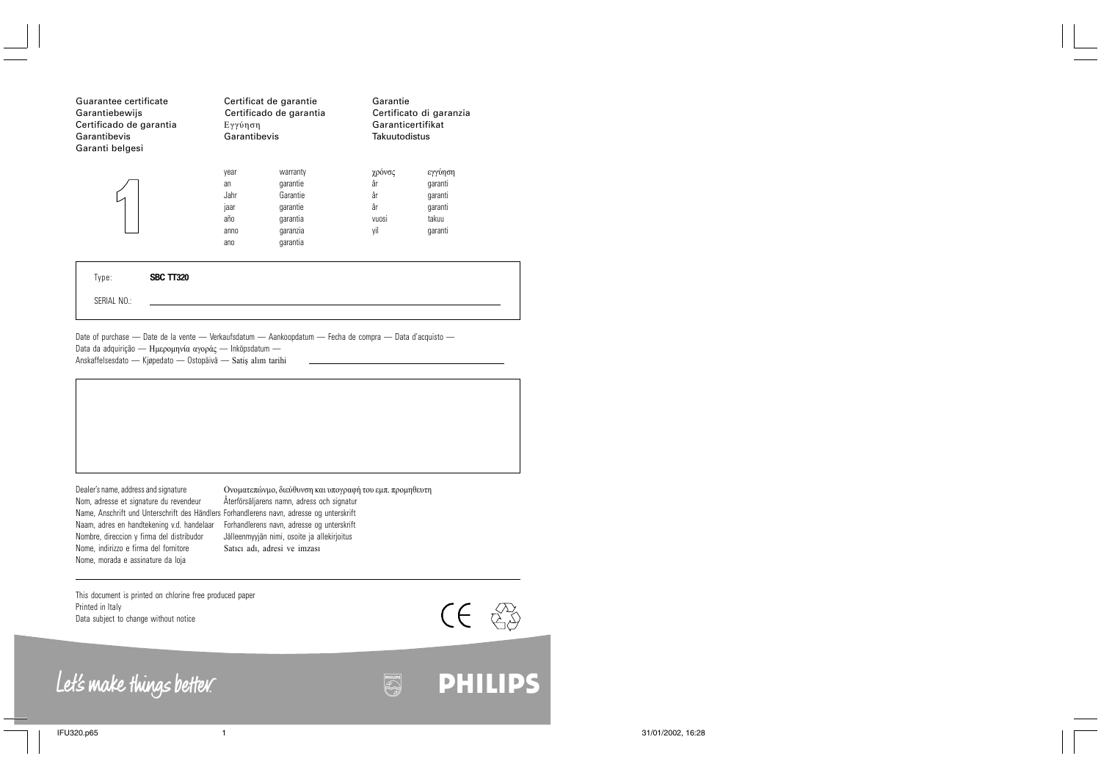| Guarantee certificate<br>Garantiebewijs<br>Certificado de garantia<br>Garantibevis<br>Garanti belgesi | Certificat de garantie<br>Certificado de garantia<br>Εγγύηση<br>Garantibevis |                                                                                  | Garantie<br>Certificato di garanzia<br>Garanticertifikat<br>Takuutodistus |                                                              |
|-------------------------------------------------------------------------------------------------------|------------------------------------------------------------------------------|----------------------------------------------------------------------------------|---------------------------------------------------------------------------|--------------------------------------------------------------|
|                                                                                                       | vear<br>an<br><b>Jahr</b><br>laar<br>año<br>anno<br>ano                      | warranty<br>garantie<br>Garantie<br>garantie<br>garantia<br>qaranzia<br>garantia | γρόνσς<br>år<br>år<br>år<br>VUOSI<br>vil                                  | εγγύηση<br>qaranti<br>qaranti<br>qaranti<br>takuu<br>qaranti |

| Type:       | <b>SBC TT320</b> |  |
|-------------|------------------|--|
| SERIAL NO.: |                  |  |

Date of purchase — Date de la vente — Verkaufsdatum — Aankoopdatum — Fecha de compra — Data d'acquisto — Data da adquirição — Ημερομηνία αγοράς — Inköpsdatum — Anskaffelsesdato — Kjøpedato — Ostopäivä — Satiş alım tarihi

Name, Anschrift und Unterschrift des Händlers Forhandlerens navn, adresse og unterskrift Naam, adres en handtekening v.d. handelaar Forhandlerens navn, adresse og unterskrift Nombre, direccion y firma del distribudor Jälleenmyyjän nimi, osoite ja allekirjoitus Nome, indirizzo e firma del fornitore Satici adi, adresi ve imzasi Nome, morada e assinature da loja

Dealer's name, address and signature Ονοματεπώνμο, διεύθυνση και υπογραφή του εμπ. προμηθευτη<br>Nom, adresse et signature du revendeur Återförsäljarens namn, adress och signatur Återförsäljarens namn, adress och signatur

This document is printed on chlorine free produced paper Printed in Italy Data subject to change without notice



lmtb TPAD lmtb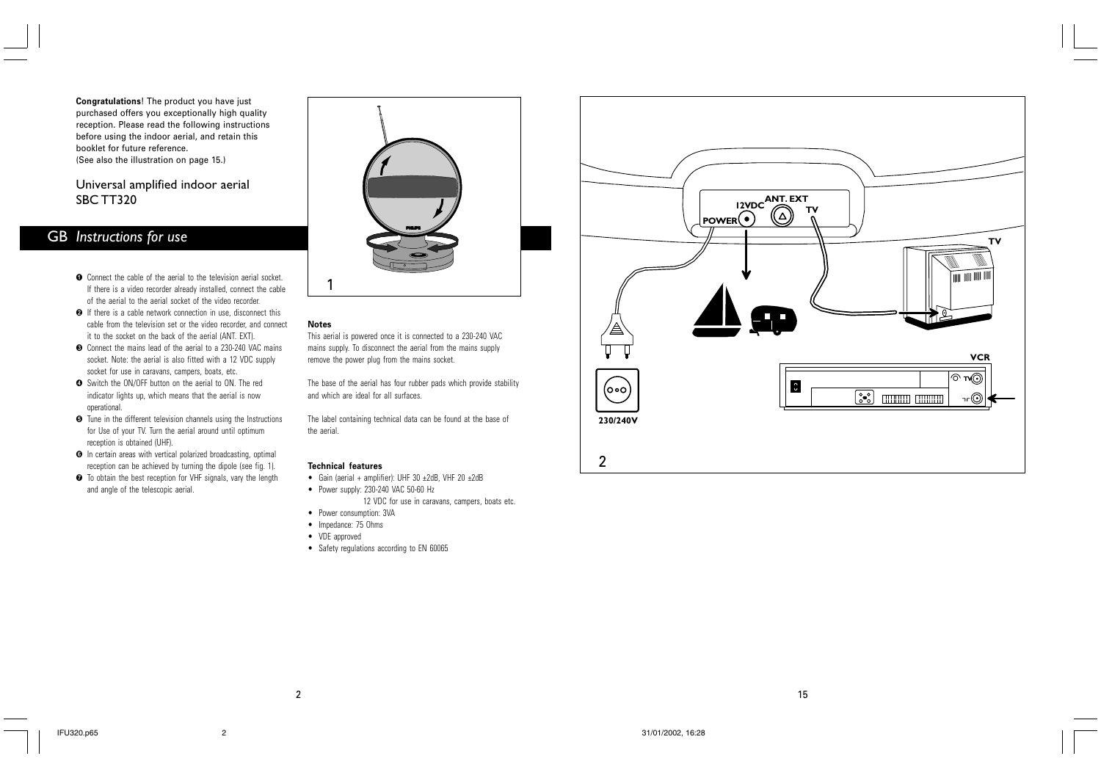**Congratulations**! The product you have just purchased offers you exceptionally high quality reception. Please read the following instructions before using the indoor aerial, and retain this booklet for future reference. (See also the illustration on page 15.)

## Universal amplified indoor aerial SBC TT320

## *Instructions for use* GB

- $\bullet$  Connect the cable of the aerial to the television aerial socket. If there is a video recorder already installed, connect the cable of the aerial to the aerial socket of the video recorder.
- $\bullet$  If there is a cable network connection in use, disconnect this cable from the television set or the video recorder, and connect it to the socket on the back of the aerial (ANT. EXT).
- $\bullet$  Connect the mains lead of the aerial to a 230-240 VAC mains socket. Note: the aerial is also fitted with a 12 VDC supply socket for use in caravans, campers, boats, etc.
- Switch the ON/OFF button on the aerial to ON. The red \$ indicator lights up, which means that the aerial is now operational.
- Tune in the different television channels using the Instructions % for Use of your TV. Turn the aerial around until optimum reception is obtained (UHF).
- **O** In certain areas with vertical polarized broadcasting, optimal reception can be achieved by turning the dipole (see fig. 1).
- $\bullet$  To obtain the best reception for VHF signals, vary the length and angle of the telescopic aerial.



#### **Notes**

This aerial is powered once it is connected to a 230-240 VAC mains supply. To disconnect the aerial from the mains supply remove the power plug from the mains socket.

The base of the aerial has four rubber pads which provide stability and which are ideal for all surfaces.

The label containing technical data can be found at the base of the aerial.

## **Technical features**

- Gain (aerial + amplifier): UHF 30 ±2dB, VHF 20 ±2dB
- Power supply: 230-240 VAC 50-60 Hz
	- 12 VDC for use in caravans, campers, boats etc.
- Power consumption: 3VA
- Impedance: 75 Ohms
- VDE approved
- Safety regulations according to EN 60065

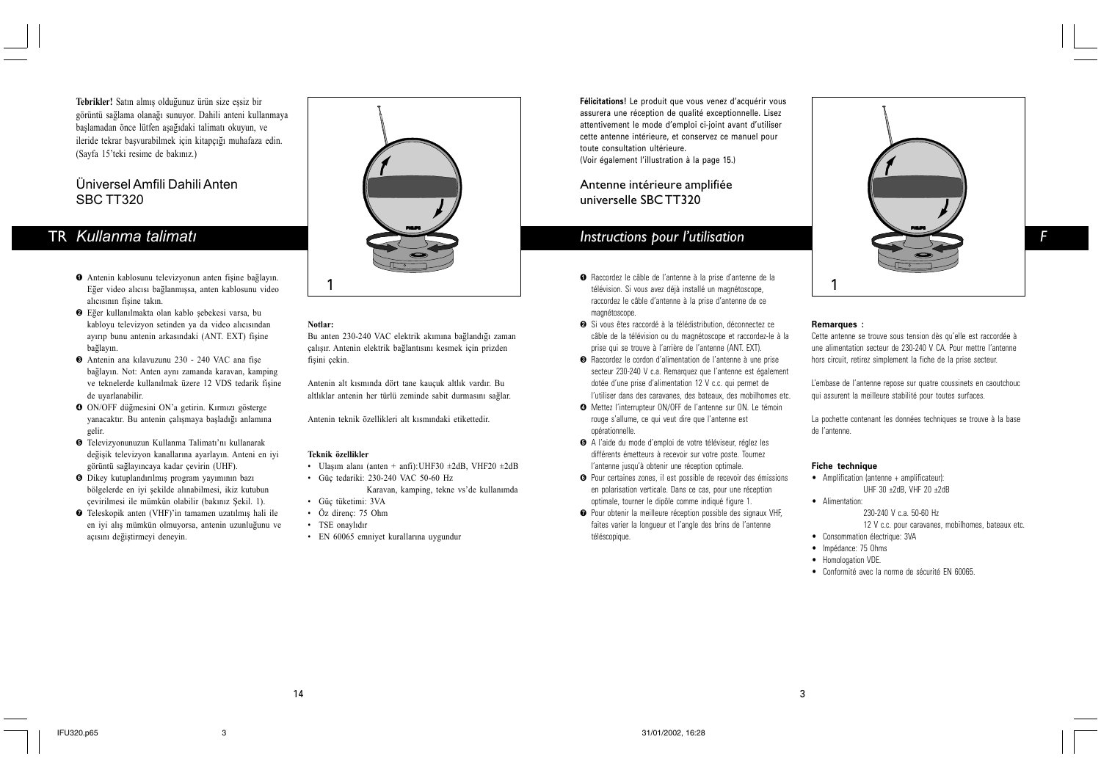Tebrikler! Satın almış olduğunuz ürün size essiz bir görüntü sağlama olanağı sunuyor. Dahili anteni kullanmaya başlamadan önce lütfen aşağıdaki talimatı okuyun, ve ileride tekrar başvurabilmek için kitapçığı muhafaza edin. (Sayfa 15'teki resime de bakınız.)

## Üniversel Amfili Dahili Anten SBC TT320

## TR *Kullanma talimatý*

- $\bullet$  Antenin kablosunu televizyonun anten fişine bağlayın. Eğer video alıcısı bağlanmışsa, anten kablosunu video alıcısının fisine takın.
- $\bullet$  Eğer kullanılmakta olan kablo şebekesi varsa, bu kabloyu televizyon setinden ya da video alıcısından ayırıp bunu antenin arkasındaki (ANT. EXT) fişine bağlayın.
- $\bullet$  Antenin ana kılavuzunu 230 240 VAC ana fişe bağlayın. Not: Anten aynı zamanda karavan, kamping ve teknelerde kullanılmak üzere 12 VDS tedarik fisine de uyarlanabilir.
- O ON/OFF düğmesini ON'a getirin. Kırmızı gösterge yanacaktır. Bu antenin çalışmaya başladığı anlamına gelir.
- **O** Televizyonunuzun Kullanma Talimatı'nı kullanarak değişik televizyon kanallarına ayarlayın. Anteni en iyi görüntü sağlayıncaya kadar çevirin (UHF).
- **O** Dikey kutuplandırılmış program yayımının bazı bölgelerde en iyi şekilde alınabilmesi, ikiz kutubun çevirilmesi ile mümkün olabilir (bakınız Şekil. 1).
- $\bullet$  Teleskopik anten (VHF)'in tamamen uzatılmış hali ile en iyi alış mümkün olmuyorsa, antenin uzunluğunu ve açısını değiştirmeyi deneyin.



### **Notlar:**

Bu anten 230-240 VAC elektrik akımına bağlandığı zaman çalışır. Antenin elektrik bağlantısını kesmek için prizden fisini cekin.

Antenin alt kísmínda dört tane kauçuk altlík vardír. Bu altlıklar antenin her türlü zeminde sabit durmasını sağlar.

Antenin teknik özellikleri alt kısmındaki etikettedir.

#### **Teknik özellikler**

- Ulaşım alanı (anten + anfi):UHF30 ±2dB, VHF20 ±2dB
- Güç tedariki: 230-240 VAC 50-60 Hz Karavan, kamping, tekne vs'de kullanımda • Güç tüketimi: 3VA
- Öz direnç: 75 Ohm
- TSE onaylıdır
- EN 60065 emniyet kurallarına uygundur

**Félicitations!** Le produit que vous venez d'acquérir vous assurera une réception de qualité exceptionnelle. Lisez attentivement le mode d'emploi ci-joint avant d'utiliser cette antenne intérieure, et conservez ce manuel pour toute consultation ultérieure. (Voir également l'illustration à la page 15.)

## Antenne intérieure amplifiée universelle SBC TT320

- 1 1 télévision. Si vous avez déjà installé un magnétoscope, Raccordez le câble de l'antenne à la prise d'antenne de la ! raccordez le câble d'antenne à la prise d'antenne de ce magnétoscope.
	- **❷** Si vous êtes raccordé à la télédistribution, déconnectez ce câble de la télévision ou du magnétoscope et raccordez-le à la prise qui se trouve à l'arrière de l'antenne (ANT. EXT).
	- Raccordez le cordon d'alimentation de l'antenne à une prise secteur 230-240 V c.a. Remarquez que l'antenne est également dotée d'une prise d'alimentation 12 V c.c. qui permet de l'utiliser dans des caravanes, des bateaux, des mobilhomes etc.
	- Mettez l'interrupteur ON/OFF de l'antenne sur ON. Le témoin \$ rouge s'allume, ce qui veut dire que l'antenne est opérationnelle.
	- A l'aide du mode d'emploi de votre téléviseur, réglez les % différents émetteurs à recevoir sur votre poste. Tournez l'antenne jusqu'à obtenir une réception optimale.
	- **O** Pour certaines zones, il est possible de recevoir des émissions en polarisation verticale. Dans ce cas, pour une réception optimale, tourner le dipôle comme indiqué figure 1.
	- **O** Pour obtenir la meilleure réception possible des signaux VHF, faites varier la longueur et l'angle des brins de l'antenne téléscopique.



#### **Remarques :**

Cette antenne se trouve sous tension dès qu'elle est raccordée à une alimentation secteur de 230-240 V CA. Pour mettre l'antenne hors circuit, retirez simplement la fiche de la prise secteur.

L'embase de l'antenne repose sur quatre coussinets en caoutchouc qui assurent la meilleure stabilité pour toutes surfaces.

La pochette contenant les données techniques se trouve à la base de l'antenne.

#### **Fiche technique**

- Amplification (antenne + amplificateur): UHF 30 ±2dB, VHF 20 ±2dB
- Alimentation: 230-240 V c.a. 50-60 Hz 12 V c.c. pour caravanes, mobilhomes, bateaux etc.
- Consommation électrique: 3VA
- Impédance: 75 Ohms

3

- Homologation VDE.
- Conformité avec la norme de sécurité EN 60065.

14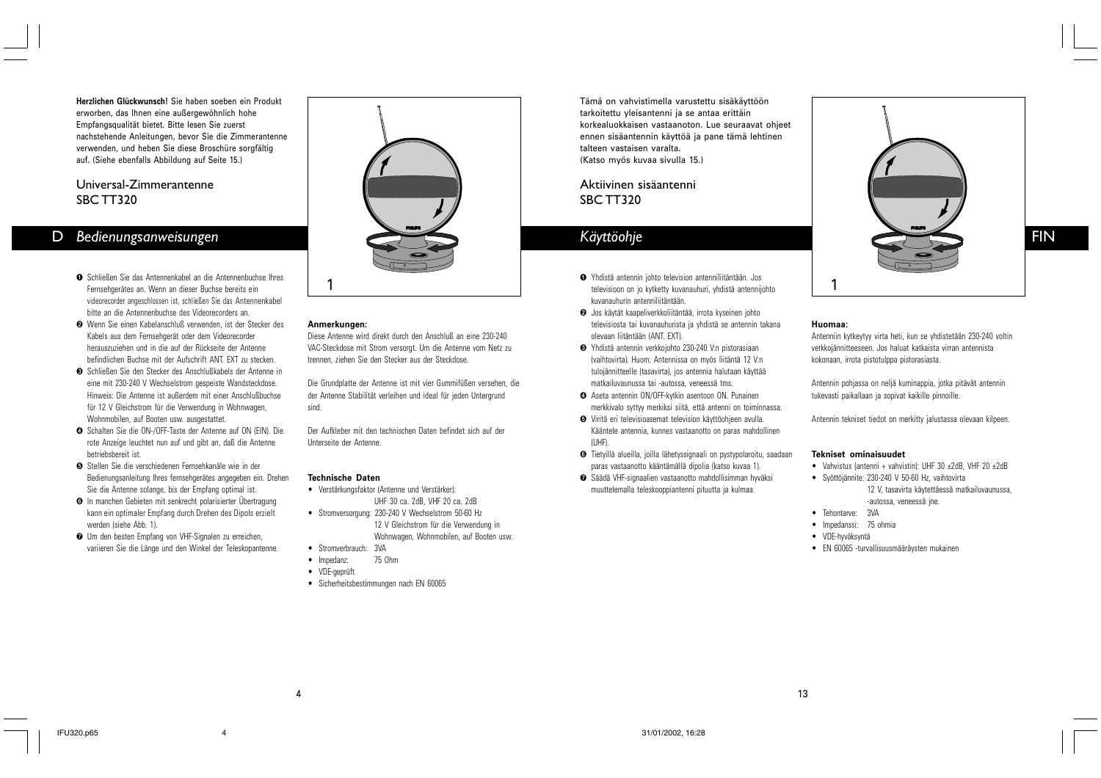**Herzlichen Glückwunsch!** Sie haben soeben ein Produkt erworben, das Ihnen eine außergewöhnlich hohe Empfangsqualität bietet. Bitte lesen Sie zuerst nachstehende Anleitungen, bevor Sie die Zimmerantenne verwenden, und heben Sie diese Broschüre sorgfältig auf. (Siehe ebenfalls Abbildung auf Seite 15.)

## Universal-Zimmerantenne SBC TT320

# D *Bedienungsanweisungen*

- Schließen Sie das Antennenkabel an die Antennenbuchse Ihres Fernsehgerätes an. Wenn an dieser Buchse bereits ein videorecorder angeschlossen ist, schließen Sie das Antennenkabel bitte an die Antennenbuchse des Videorecorders an.
- Wenn Sie einen Kabelanschluß verwenden, ist der Stecker des " Kabels aus dem Fernsehgerät oder dem Videorecorder herauszuziehen und in die auf der Rückseite der Antenne befindlichen Buchse mit der Aufschrift ANT. EXT zu stecken.
- Schließen Sie den Stecker des Anschlußkabels der Antenne in eine mit 230-240 V Wechselstrom gespeiste Wandsteckdose. Hinweis: Die Antenne ist außerdem mit einer Anschlußbuchse für 12 V Gleichstrom für die Verwendung in Wohnwagen, Wohnmobilen, auf Booten usw. ausgestattet.
- **O** Schalten Sie die ON-/OFF-Taste der Antenne auf ON (EIN). Die rote Anzeige leuchtet nun auf und gibt an, daß die Antenne betriebsbereit ist.
- **☉** Stellen Sie die verschiedenen Fernsehkanäle wie in der Bedienungsanleitung Ihres fernsehgerätes angegeben ein. Drehen Sie die Antenne solange, bis der Empfang optimal ist.
- **O** In manchen Gebieten mit senkrecht polarisierter Übertragung kann ein optimaler Empfang durch Drehen des Dipols erzielt werden (siehe Abb. 1).
- Um den besten Empfang von VHF-Signalen zu erreichen, ' variieren Sie die Länge und den Winkel der Teleskopantenne.



#### **Anmerkungen:**

Diese Antenne wird direkt durch den Anschluß an eine 230-240 VAC-Steckdose mit Strom versorgt. Um die Antenne vom Netz zu trennen, ziehen Sie den Stecker aus der Steckdose.

Die Grundplatte der Antenne ist mit vier Gummifüßen versehen, die der Antenne Stabilität verleihen und ideal für jeden Untergrund sind.

Der Aufkleber mit den technischen Daten befindet sich auf der Unterseite der Antenne.

#### **Technische Daten**

- Verstärkungsfaktor (Antenne und Verstärker): UHF 30 ca. 2dB, VHF 20 ca. 2dB
- Stromversorgung: 230-240 V Wechselstrom 50-60 Hz 12 V Gleichstrom für die Verwendung in Wohnwagen, Wohnmobilen, auf Booten usw.
- Stromverbrauch: 3VA
- Impedanz: 75 Ohm
- VDE-geprüft

4

• Sicherheitsbestimmungen nach EN 60065

Tämä on vahvistimella varustettu sisäkäyttöön tarkoitettu yleisantenni ja se antaa erittäin korkealuokkaisen vastaanoton. Lue seuraavat ohjeet ennen sisäantennin käyttöä ja pane tämä lehtinen talteen vastaisen varalta. (Katso myös kuvaa sivulla 15.)

Aktiivinen sisäantenni SBC TT320

# *Käyttöohje*

- 1 1 televisioon on jo kytketty kuvanauhuri, yhdistä antennijohto Yhdistä antennin johto television antenniliitäntään. Jos ! kuvanauhurin antenniliitäntään.
	- Jos käytät kaapeliverkkoliitäntää, irrota kyseinen johto " televisiosta tai kuvanauhurista ja yhdistä se antennin takana olevaan liitäntään (ANT. EXT).
	- Yhdistä antennin verkkojohto 230-240 V:n pistorasiaan # (vaihtovirta). Huom: Antennissa on myös liitäntä 12 V:n tulojännitteelle (tasavirta), jos antennia halutaan käyttää matkailuvaunussa tai -autossa, veneessä tms.
	- Aseta antennin ON/OFF-kytkin asentoon ON. Punainen \$ merkkivalo syttyy merkiksi siitä, että antenni on toiminnassa.
	- Viritä eri televisioasemat television käyttöohjeen avulla. % Kääntele antennia, kunnes vastaanotto on paras mahdollinen (UHF).
	- Tietyillä alueilla, joilla lähetyssignaali on pystypolaroitu, saadaan & paras vastaanotto kääntämällä dipolia (katso kuvaa 1).
	- Säädä VHF-signaalien vastaanotto mahdollisimman hyväksi muuttelemalla teleskooppiantenni pituutta ja kulmaa.



## **Huomaa:**

Antenniin kytkeytyy virta heti, kun se yhdistetään 230-240 voltin verkkojännitteeseen. Jos haluat katkaista virran antennista kokonaan, irrota pistotulppa pistorasiasta.

Antennin pohjassa on neljä kuminappia, jotka pitävät antennin tukevasti paikallaan ja sopivat kaikille pinnoille.

Antennin tekniset tiedot on merkitty jalustassa olevaan kilpeen.

#### **Tekniset ominaisuudet**

- Vahvistus (antenni + vahvistin): UHF 30 ±2dB, VHF 20 ±2dB
- Syöttöjännite: 230-240 V 50-60 Hz, vaihtovirta 12 V, tasavirta käytettäessä matkailuvaunussa, -autossa, veneessä jne.
	-
- Tehontarve: 3VA
- Impedanssi: 75 ohmia • VDE-hyväksyntä
- EN 60065 -turvallisuusmääräysten mukainen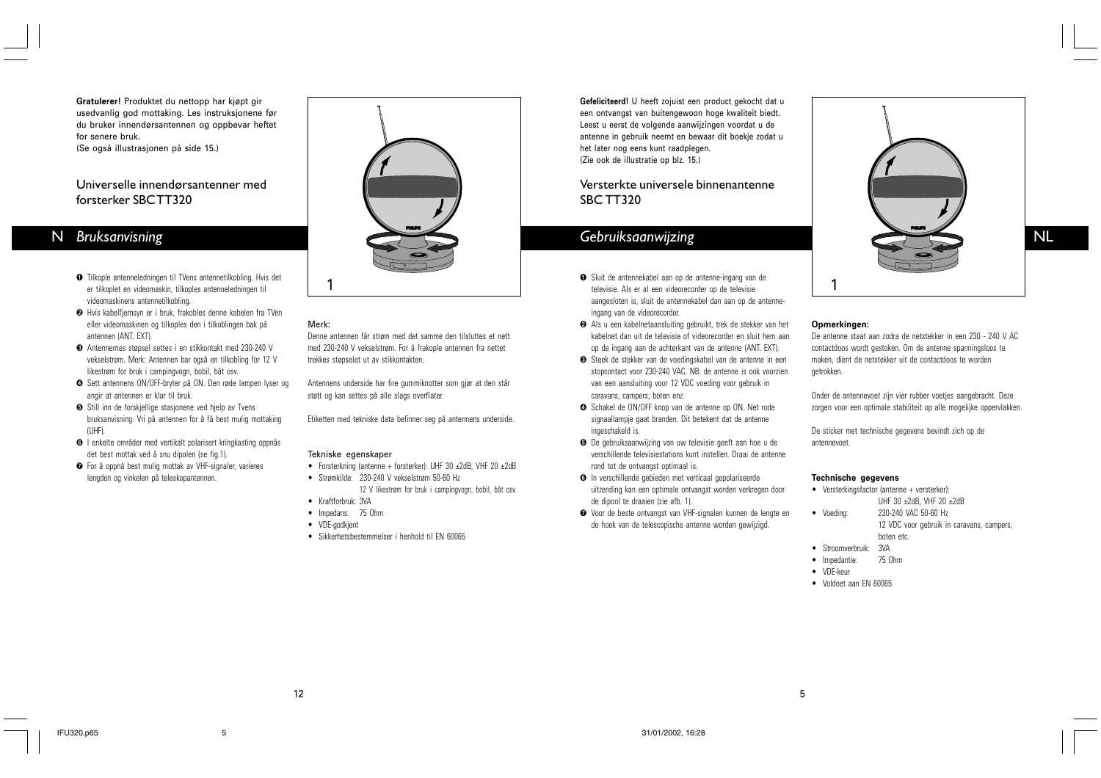**Gratulerer!** Produktet du nettopp har kjøpt gir usedvanlig god mottaking. Les instruksjonene før du bruker innendørsantennen og oppbevar heftet for senere bruk.

(Se også illustrasjonen på side 15.)

## Universelle innendørsantenner med forsterker SBC TT320

## N *Bruksanvisning*

- Tilkople antenneledningen til TVens antennetilkobling. Hvis det ! er tilkoplet en videomaskin, tilkoples antenneledningen til videomaskinens antennetilkobling.
- **❷** Hvis kabelfjernsyn er i bruk, frakobles denne kabelen fra TVen eller videomaskinen og tilkoples den i tilkoblingen bak på antennen (ANT. EXT).
- Antennernes støpsel settes i en stikkontakt med 230-240 V # vekselstrøm. Merk: Antennen bar også en tilkobling for 12 V likestrøm for bruk i campingvogn, bobil, båt osv.
- Sett antennens ON/OFF-bryter på ON. Den røde lampen lyser og \$ angir at antennen er klar til bruk.
- **O** Still inn de forskjellige stasjonene ved hjelp av Tvens bruksanvisning. Vri på antennen for å få best mulig mottaking  $(IIHF)$
- **O** I enkelte områder med vertikalt polarisert kringkasting oppnås det best mottak ved å snu dipolen (se fig.1).
- For å oppnå best mulig mottak av VHF-signaler, varieres ' lengden og vinkelen på teleskopantennen.



## Merk:

Denne antennen får strøm med det samme den tilsluttes et nett med 230-240 V vekselstrøm. For å frakople antennen fra nettet trekkes støpselet ut av stikkontakten.

Antennens underside har fire gummiknotter som gjør at den står støtt og kan settes på alle slags overflater.

Etiketten med tekniske data befinner seg på antennens underside.

### Tekniske egenskaper

- Forsterkning (antenne + forsterker): UHF 30 ±2dB, VHF 20 ±2dB
- Strømkilde: 230-240 V vekselstrøm 50-60 Hz 12 V likestrøm for bruk i campingvogn, bobil, båt osv.
- Kraftforbruk: 3VA
- Impedans: 75 Ohm
- VDE-godkjent

12

• Sikkerhetsbestemmelser i henhold til EN 60065

**Gefeliciteerd!** U heeft zojuist een product gekocht dat u een ontvangst van buitengewoon hoge kwaliteit biedt. Leest u eerst de volgende aanwijzingen voordat u de antenne in gebruik neemt en bewaar dit boekje zodat u het later nog eens kunt raadplegen. (Zie ook de illustratie op blz. 15.)

## Versterkte universele binnenantenne SBC TT320

- 1 1 televisie. Als er al een videorecorder op de televisie Sluit de antennekabel aan op de antenne-ingang van de ! aangesloten is, sluit de antennekabel dan aan op de antenneingang van de videorecorder.
	- Als u een kabelnetaansluiting gebruikt, trek de stekker van het " kabelnet dan uit de televisie of videorecorder en sluit hem aan op de ingang aan de achterkant van de antenne (ANT. EXT).
	- Steek de stekker van de voedingskabel van de antenne in een stopcontact voor 230-240 VAC. NB: de antenne is ook voorzien van een aansluiting voor 12 VDC voeding voor gebruik in caravans, campers, boten enz.
	- **O** Schakel de ON/OFF knop van de antenne op ON. Net rode signaallampje gaat branden. Dit betekent dat de antenne ingeschakeld is.
	- **O** De gebruiksaanwijzing van uw televisie geeft aan hoe u de verschillende televisiestations kunt instellen. Draai de antenne rond tot de ontvangst optimaal is.
	- **O** In verschillende gebieden met verticaal gepolariseerde uitzending kan een optimale ontvangst worden verkregen door de dipool te draaien (zie afb. 1).
	- Voor de beste ontvangst van VHF-signalen kunnen de lengte en ' de hoek van de telescopische antenne worden gewijzigd.
- Voeding:
	- boten etc.
	- Stroomverbruik: 3VA
	- Impedantie: 75 Ohm
	- VDE-keur • Voldoet aan EN 60065

5

NL

## **Opmerkingen:**

De antenne staat aan zodra de netstekker in een 230 - 240 V AC contactdoos wordt gestoken. Om de antenne spanningsloos te maken, dient de netstekker uit de contactdoos te worden getrokken.

Onder de antennevoet zijn vier rubber voetjes aangebracht. Deze zorgen voor een optimale stabiliteit op alle mogelijke oppervlakken.

De sticker met technische gegevens bevindt zich op de antennevoet.

#### **Technische gegevens**

• Versterkingsfactor (antenne + versterker): UHF 30 ±2dB, VHF 20 ±2dB

> 230-240 VAC 50-60 Hz 12 VDC voor gebruik in caravans, campers,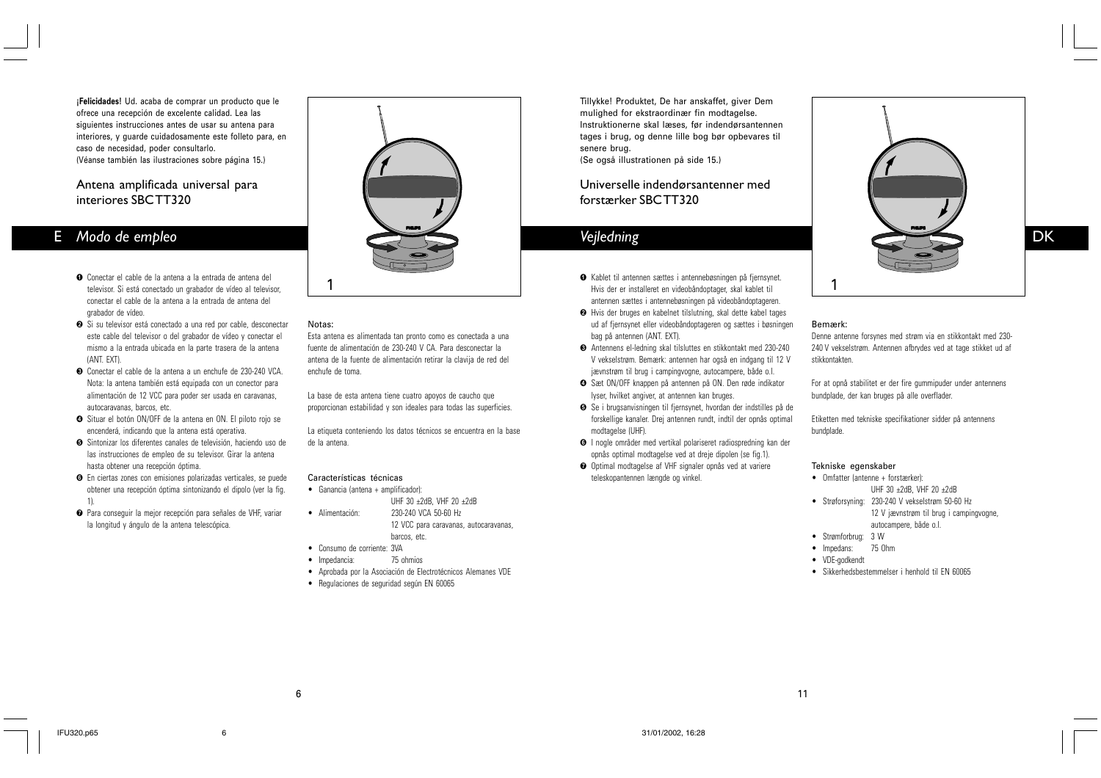**¡Felicidades!** Ud. acaba de comprar un producto que le ofrece una recepción de excelente calidad. Lea las siguientes instrucciones antes de usar su antena para interiores, y guarde cuidadosamente este folleto para, en caso de necesidad, poder consultarlo. (Véanse también las ilustraciones sobre página 15.)

## Antena amplificada universal para interiores SBC TT320

## E *Modo de empleo*

- Conectar el cable de la antena a la entrada de antena del ! televisor. Si está conectado un grabador de vídeo al televisor, conectar el cable de la antena a la entrada de antena del grabador de vídeo.
- **⊘** Si su televisor está conectado a una red por cable, desconectar este cable del televisor o del grabador de vídeo y conectar el mismo a la entrada ubicada en la parte trasera de la antena (ANT. EXT).
- Conectar el cable de la antena a un enchufe de 230-240 VCA. Nota: la antena también está equipada con un conector para alimentación de 12 VCC para poder ser usada en caravanas, autocaravanas, barcos, etc.
- Situar el botón ON/OFF de la antena en ON. El piloto rojo se \$ encenderá, indicando que la antena está operativa.
- Sintonizar los diferentes canales de televisión, haciendo uso de % las instrucciones de empleo de su televisor. Girar la antena hasta obtener una recepción óptima.
- En ciertas zones con emisiones polarizadas verticales, se puede & obtener una recepción óptima sintonizando el dipolo (ver la fig. 1).
- Para conseguir la mejor recepción para señales de VHF, variar la longitud y ángulo de la antena telescópica.



#### Notas:

Esta antena es alimentada tan pronto como es conectada a una fuente de alimentación de 230-240 V CA. Para desconectar la antena de la fuente de alimentación retirar la clavija de red del enchufe de toma.

La base de esta antena tiene cuatro apoyos de caucho que proporcionan estabilidad y son ideales para todas las superficies.

La etiqueta conteniendo los datos técnicos se encuentra en la base de la antena.

## Características técnicas

- Ganancia (antena + amplificador): UHF 30 ±2dB, VHF 20 ±2dB
- · Alimentación: 230-240 VCA 50-60 Hz 12 VCC para caravanas, autocaravanas, barcos, etc.
	-
- Consumo de corriente: 3VA
- Impedancia: 75 ohmios
- Aprobada por la Asociación de Electrotécnicos Alemanes VDE
- Regulaciones de seguridad según EN 60065

Tillykke! Produktet, De har anskaffet, giver Dem mulighed for ekstraordinær fin modtagelse. Instruktionerne skal læses, før indendørsantennen tages i brug, og denne lille bog bør opbevares til senere brug. (Se også illustrationen på side 15.)

## Universelle indendørsantenner med forstærker SBC TT320

# *Vejledning*

- 1 1 Hvis der er installeret en videobåndoptager, skal kablet til Kablet til antennen sættes i antennebøsningen på fjernsynet. ! antennen sættes i antennebøsningen på videobåndoptageren.
	- **<sup>●</sup>** Hvis der bruges en kabelnet tilslutning, skal dette kabel tages ud af fjernsynet eller videobåndoptageren og sættes i bøsningen bag på antennen (ANT. EXT).
	- Antennens el-ledning skal tilsluttes en stikkontakt med 230-240 # V vekselstrøm. Bemærk: antennen har også en indgang til 12 V jævnstrøm til brug i campingvogne, autocampere, både o.l.
	- Sæt ON/OFF knappen på antennen på ON. Den røde indikator \$ lyser, hvilket angiver, at antennen kan bruges.
	- Se i brugsanvisningen til fjernsynet, hvordan der indstilles på de forskellige kanaler. Drej antennen rundt, indtil der opnås optimal modtagelse (UHF).
	- **O** I nogle områder med vertikal polariseret radiospredning kan der opnås optimal modtagelse ved at dreje dipolen (se fig.1).
	- Optimal modtagelse af VHF signaler opnås ved at variere teleskopantennen længde og vinkel.



## Bemærk:

Denne antenne forsynes med strøm via en stikkontakt med 230- 240 V vekselstrøm. Antennen afbrydes ved at tage stikket ud af stikkontakten.

For at opnå stabilitet er der fire gummipuder under antennens bundplade, der kan bruges på alle overflader.

Etiketten med tekniske specifikationer sidder på antennens bundplade.

#### Tekniske egenskaber

- Omfatter (antenne + forstærker): UHF 30 ±2dB, VHF 20 ±2dB
- Strøforsyning: 230-240 V vekselstrøm 50-60 Hz 12 V jævnstrøm til brug i campingvogne, autocampere, både o.l.
- Strømforbrug: 3 W
- Impedans: 75 Ohm
- VDE-godkendt

11

• Sikkerhedsbestemmelser i henhold til EN 60065

6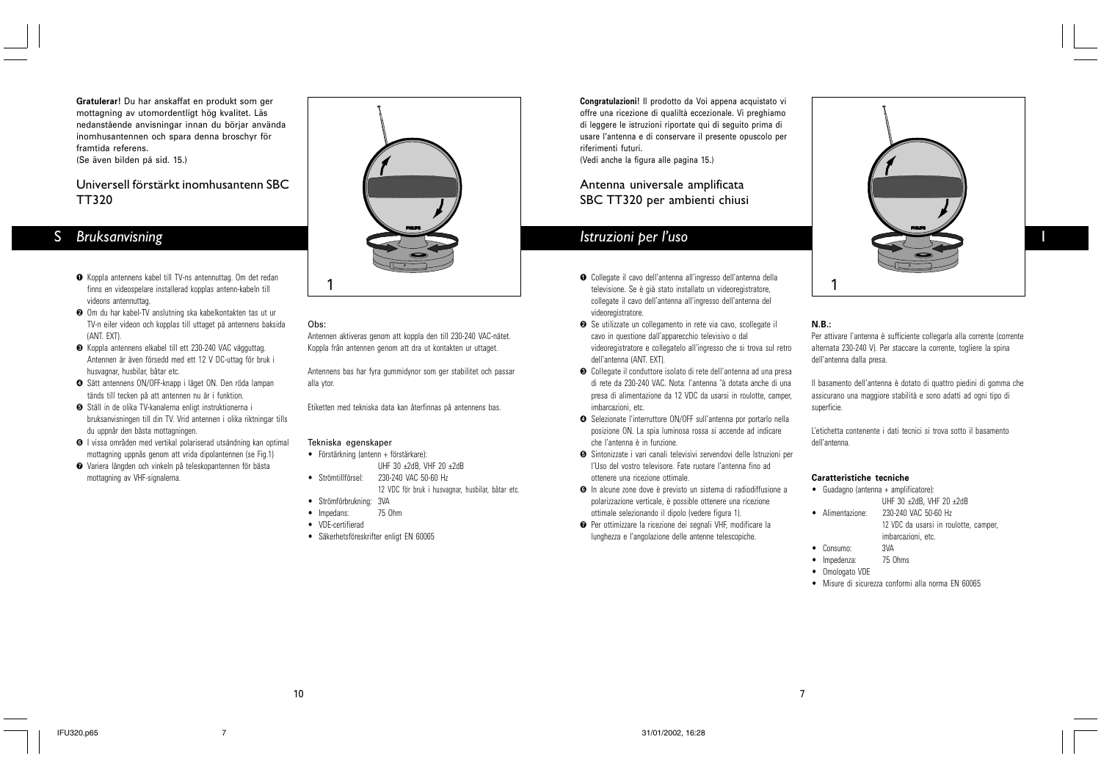**Gratulerar!** Du har anskaffat en produkt som ger mottagning av utomordentligt hög kvalitet. Läs nedanstående anvisningar innan du börjar använda inomhusantennen och spara denna broschyr för framtida referens. (Se även bilden på sid. 15.)

## Universell förstärkt inomhusantenn SBC TT320

## *Bruksanvisning* S

- Koppla antennens kabel till TV-ns antennuttag. Om det redan ! finns en videospelare installerad kopplas antenn-kabeln till videons antennuttag.
- Om du har kabel-TV anslutning ska kabelkontakten tas ut ur TV-n eiler videon och kopplas till uttaget pä antennens baksida (ANT. EXT).
- Koppla antennens elkabel till ett 230-240 VAC vägguttag. Antennen är även försedd med ett 12 V DC-uttag för bruk i husvagnar, husbilar, båtar etc.
- Sätt antennens ON/OFF-knapp i läget ON. Den röda lampan \$ tänds till tecken på att antennen nu är i funktion.
- **●** Ställ in de olika TV-kanalerna enligt instruktionerna i bruksanvisningen till din TV. Vrid antennen i olika riktningar tills du uppnår den bästa mottagningen.
- **O** I vissa områden med vertikal polariserad utsändning kan optimal mottagning uppnås genom att vrida dipolantennen (se Fig.1)
- Variera längden och vinkeln på teleskopantennen för bästa ' mottagning av VHF-signalerna.



## Obs:

Antennen aktiveras genom att koppla den till 230-240 VAC-nätet. Koppla från antennen genom att dra ut kontakten ur uttaget.

Antennens bas har fyra gummidynor som ger stabilitet och passar alla ytor.

Etiketten med tekniska data kan återfinnas på antennens bas.

## Tekniska egenskaper

- Förstärkning (antenn + förstärkare): UHF 30 ±2dB, VHF 20 ±2dB
- · Strömtillförsel· 230-240 VAC 50-60 Hz 12 VDC för bruk i husvagnar, husbilar, båtar etc.
- Strömförbrukning: 3VA
- Impedans: 75 Ohm
- VDE-certifierad
- Säkerhetsföreskrifter enligt EN 60065

**Congratulazioni!** Il prodotto da Voi appena acquistato vi offre una ricezione di qualiltà eccezionale. Vi preghiamo di leggere le istruzioni riportate qui di seguito prima di usare l'antenna e di conservare il presente opuscolo per riferimenti futuri. (Vedi anche la figura alle pagina 15.)

## Antenna universale amplificata SBC TT320 per ambienti chiusi

# *Istruzioni per l'uso*

- 1 1 televisione. Se è già stato installato un videoregistratore,  $\bullet$  Collegate il cavo dell'antenna all'ingresso dell'antenna della collegate il cavo dell'antenna all'ingresso dell'antenna del videoregistratore.
	- Se utilizzate un collegamento in rete via cavo, scollegate il cavo in questione dall'apparecchio televisivo o dal videoregistratore e collegatelo all'ingresso che si trova sul retro dell'antenna (ANT. EXT).
	- Collegate il conduttore isolato di rete dell'antenna ad una presa di rete da 230-240 VAC. Nota: l'antenna ˆà dotata anche di una presa di alimentazione da 12 VDC da usarsi in roulotte, camper, imbarcazioni, etc.
	- **O** Selezionate l'interruttore ON/OFF sull'antenna por portarlo nella posizione ON. La spia luminosa rossa si accende ad indicare che l'antenna è in funzione.
	- **●** Sintonizzate i vari canali televisivi servendovi delle Istruzioni per l'Uso del vostro televisore. Fate ruotare l'antenna fino ad ottenere una ricezione ottimale.
	- **O** In alcune zone dove è previsto un sistema di radiodiffusione a polarizzazione verticale, è possible ottenere una ricezione ottimale selezionando il dipolo (vedere figura 1).
	- Per ottimizzare la ricezione dei segnali VHF, modificare la lunghezza e l'angolazione delle antenne telescopiche.

**PHILIPS PHILIPS**

I

## **N.B.:**

Per attivare l'antenna è sufficiente collegarla alla corrente (corrente alternata 230-240 V). Per staccare la corrente, togliere la spina dell'antenna dalla presa.

Il basamento dell'antenna è dotato di quattro piedini di gomma che assicurano una maggiore stabilità e sono adatti ad ogni tipo di superficie.

L'etichetta contenente i dati tecnici si trova sotto il basamento dell'antenna.

## **Caratteristiche tecniche**

- Guadagno (antenna + amplificatore): UHF 30 ±2dB, VHF 20 ±2dB
- Alimentazione: 230-240 VAC 50-60 Hz 12 VDC da usarsi in roulotte, camper, imbarcazioni, etc.
- Consumo: 3VA
- Impedenza: 75 Ohms
- Omologato VDE

7

• Misure di sicurezza conformi alla norma EN 60065

10